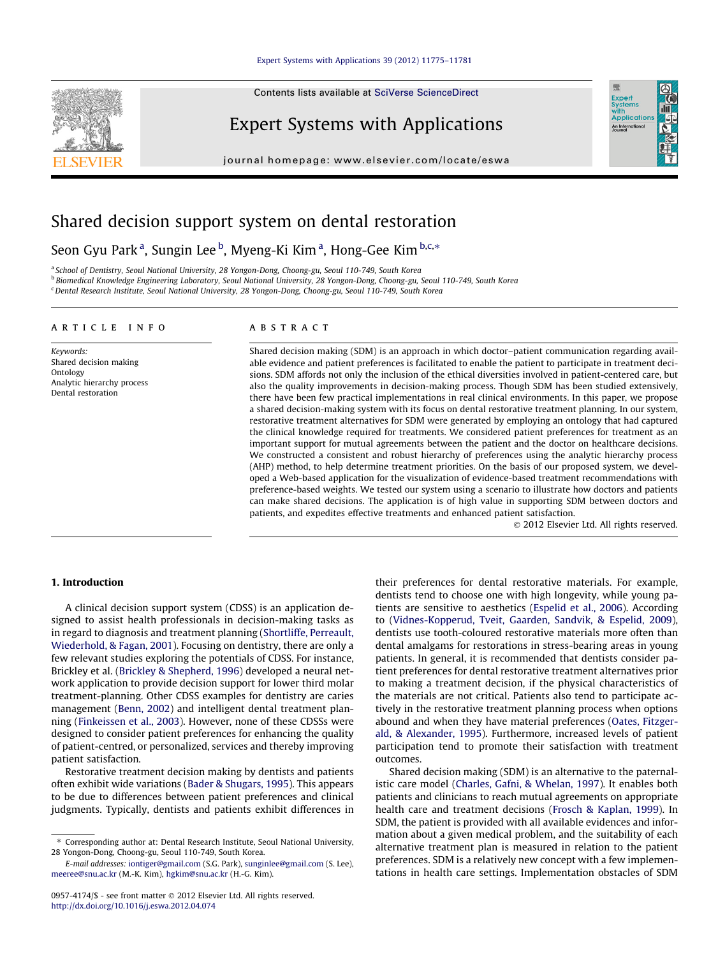#### [Expert Systems with Applications 39 \(2012\) 11775–11781](http://dx.doi.org/10.1016/j.eswa.2012.04.074)

Contents lists available at [SciVerse ScienceDirect](http://www.sciencedirect.com/science/journal/09574174)

## Expert Systems with Applications

journal homepage: [www.elsevier.com/locate/eswa](http://www.elsevier.com/locate/eswa)



## Shared decision support system on dental restoration

### Seon Gyu Park $^{\rm a}$ , Sungin Lee $^{\rm b}$ , Myeng-Ki Kim $^{\rm a}$ , Hong-Gee Kim $^{\rm b,c,*}$

a School of Dentistry, Seoul National University, 28 Yongon-Dong, Choong-gu, Seoul 110-749, South Korea <sup>b</sup> Biomedical Knowledge Engineering Laboratory, Seoul National University, 28 Yongon-Dong, Choong-gu, Seoul 110-749, South Korea <sup>c</sup> Dental Research Institute, Seoul National University, 28 Yongon-Dong, Choong-gu, Seoul 110-749, South Korea

#### article info

Keywords: Shared decision making Ontology Analytic hierarchy process Dental restoration

#### **ABSTRACT**

Shared decision making (SDM) is an approach in which doctor–patient communication regarding available evidence and patient preferences is facilitated to enable the patient to participate in treatment decisions. SDM affords not only the inclusion of the ethical diversities involved in patient-centered care, but also the quality improvements in decision-making process. Though SDM has been studied extensively, there have been few practical implementations in real clinical environments. In this paper, we propose a shared decision-making system with its focus on dental restorative treatment planning. In our system, restorative treatment alternatives for SDM were generated by employing an ontology that had captured the clinical knowledge required for treatments. We considered patient preferences for treatment as an important support for mutual agreements between the patient and the doctor on healthcare decisions. We constructed a consistent and robust hierarchy of preferences using the analytic hierarchy process (AHP) method, to help determine treatment priorities. On the basis of our proposed system, we developed a Web-based application for the visualization of evidence-based treatment recommendations with preference-based weights. We tested our system using a scenario to illustrate how doctors and patients can make shared decisions. The application is of high value in supporting SDM between doctors and patients, and expedites effective treatments and enhanced patient satisfaction.

- 2012 Elsevier Ltd. All rights reserved.

#### 1. Introduction

A clinical decision support system (CDSS) is an application designed to assist health professionals in decision-making tasks as in regard to diagnosis and treatment planning ([Shortliffe, Perreault,](#page--1-0) [Wiederhold, & Fagan, 2001](#page--1-0)). Focusing on dentistry, there are only a few relevant studies exploring the potentials of CDSS. For instance, Brickley et al. ([Brickley & Shepherd, 1996\)](#page--1-0) developed a neural network application to provide decision support for lower third molar treatment-planning. Other CDSS examples for dentistry are caries management [\(Benn, 2002](#page--1-0)) and intelligent dental treatment planning ([Finkeissen et al., 2003\)](#page--1-0). However, none of these CDSSs were designed to consider patient preferences for enhancing the quality of patient-centred, or personalized, services and thereby improving patient satisfaction.

Restorative treatment decision making by dentists and patients often exhibit wide variations ([Bader & Shugars, 1995\)](#page--1-0). This appears to be due to differences between patient preferences and clinical judgments. Typically, dentists and patients exhibit differences in their preferences for dental restorative materials. For example, dentists tend to choose one with high longevity, while young patients are sensitive to aesthetics ([Espelid et al., 2006\)](#page--1-0). According to [\(Vidnes-Kopperud, Tveit, Gaarden, Sandvik, & Espelid, 2009\)](#page--1-0), dentists use tooth-coloured restorative materials more often than dental amalgams for restorations in stress-bearing areas in young patients. In general, it is recommended that dentists consider patient preferences for dental restorative treatment alternatives prior to making a treatment decision, if the physical characteristics of the materials are not critical. Patients also tend to participate actively in the restorative treatment planning process when options abound and when they have material preferences ([Oates, Fitzger](#page--1-0)[ald, & Alexander, 1995\)](#page--1-0). Furthermore, increased levels of patient participation tend to promote their satisfaction with treatment outcomes.

Shared decision making (SDM) is an alternative to the paternalistic care model [\(Charles, Gafni, & Whelan, 1997](#page--1-0)). It enables both patients and clinicians to reach mutual agreements on appropriate health care and treatment decisions ([Frosch & Kaplan, 1999\)](#page--1-0). In SDM, the patient is provided with all available evidences and information about a given medical problem, and the suitability of each alternative treatment plan is measured in relation to the patient preferences. SDM is a relatively new concept with a few implementations in health care settings. Implementation obstacles of SDM



<sup>⇑</sup> Corresponding author at: Dental Research Institute, Seoul National University, 28 Yongon-Dong, Choong-gu, Seoul 110-749, South Korea.

E-mail addresses: [iontiger@gmail.com](mailto:iontiger@gmail.com) (S.G. Park), [sunginlee@gmail.com](mailto:sunginlee@gmail.com) (S. Lee), [meeree@snu.ac.kr](mailto:meeree@snu.ac.kr) (M.-K. Kim), [hgkim@snu.ac.kr](mailto:hgkim@snu.ac.kr) (H.-G. Kim).

<sup>0957-4174/\$ -</sup> see front matter © 2012 Elsevier Ltd. All rights reserved. <http://dx.doi.org/10.1016/j.eswa.2012.04.074>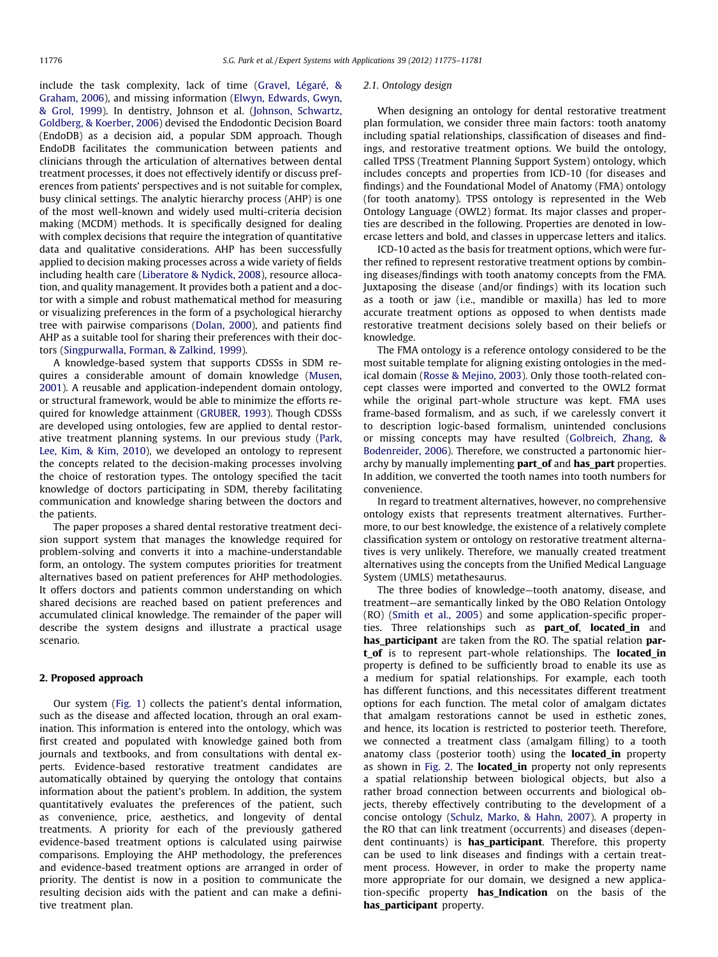include the task complexity, lack of time [\(Gravel, Légaré, &](#page--1-0) [Graham, 2006\)](#page--1-0), and missing information [\(Elwyn, Edwards, Gwyn,](#page--1-0) [& Grol, 1999\)](#page--1-0). In dentistry, Johnson et al. [\(Johnson, Schwartz,](#page--1-0) [Goldberg, & Koerber, 2006\)](#page--1-0) devised the Endodontic Decision Board (EndoDB) as a decision aid, a popular SDM approach. Though EndoDB facilitates the communication between patients and clinicians through the articulation of alternatives between dental treatment processes, it does not effectively identify or discuss preferences from patients' perspectives and is not suitable for complex, busy clinical settings. The analytic hierarchy process (AHP) is one of the most well-known and widely used multi-criteria decision making (MCDM) methods. It is specifically designed for dealing with complex decisions that require the integration of quantitative data and qualitative considerations. AHP has been successfully applied to decision making processes across a wide variety of fields including health care [\(Liberatore & Nydick, 2008\)](#page--1-0), resource allocation, and quality management. It provides both a patient and a doctor with a simple and robust mathematical method for measuring or visualizing preferences in the form of a psychological hierarchy tree with pairwise comparisons [\(Dolan, 2000\)](#page--1-0), and patients find AHP as a suitable tool for sharing their preferences with their doctors [\(Singpurwalla, Forman, & Zalkind, 1999\)](#page--1-0).

A knowledge-based system that supports CDSSs in SDM requires a considerable amount of domain knowledge [\(Musen,](#page--1-0) [2001\)](#page--1-0). A reusable and application-independent domain ontology, or structural framework, would be able to minimize the efforts required for knowledge attainment [\(GRUBER, 1993](#page--1-0)). Though CDSSs are developed using ontologies, few are applied to dental restorative treatment planning systems. In our previous study [\(Park,](#page--1-0) [Lee, Kim, & Kim, 2010\)](#page--1-0), we developed an ontology to represent the concepts related to the decision-making processes involving the choice of restoration types. The ontology specified the tacit knowledge of doctors participating in SDM, thereby facilitating communication and knowledge sharing between the doctors and the patients.

The paper proposes a shared dental restorative treatment decision support system that manages the knowledge required for problem-solving and converts it into a machine-understandable form, an ontology. The system computes priorities for treatment alternatives based on patient preferences for AHP methodologies. It offers doctors and patients common understanding on which shared decisions are reached based on patient preferences and accumulated clinical knowledge. The remainder of the paper will describe the system designs and illustrate a practical usage scenario.

#### 2. Proposed approach

Our system [\(Fig. 1\)](#page--1-0) collects the patient's dental information, such as the disease and affected location, through an oral examination. This information is entered into the ontology, which was first created and populated with knowledge gained both from journals and textbooks, and from consultations with dental experts. Evidence-based restorative treatment candidates are automatically obtained by querying the ontology that contains information about the patient's problem. In addition, the system quantitatively evaluates the preferences of the patient, such as convenience, price, aesthetics, and longevity of dental treatments. A priority for each of the previously gathered evidence-based treatment options is calculated using pairwise comparisons. Employing the AHP methodology, the preferences and evidence-based treatment options are arranged in order of priority. The dentist is now in a position to communicate the resulting decision aids with the patient and can make a definitive treatment plan.

#### 2.1. Ontology design

When designing an ontology for dental restorative treatment plan formulation, we consider three main factors: tooth anatomy including spatial relationships, classification of diseases and findings, and restorative treatment options. We build the ontology, called TPSS (Treatment Planning Support System) ontology, which includes concepts and properties from ICD-10 (for diseases and findings) and the Foundational Model of Anatomy (FMA) ontology (for tooth anatomy). TPSS ontology is represented in the Web Ontology Language (OWL2) format. Its major classes and properties are described in the following. Properties are denoted in lowercase letters and bold, and classes in uppercase letters and italics.

ICD-10 acted as the basis for treatment options, which were further refined to represent restorative treatment options by combining diseases/findings with tooth anatomy concepts from the FMA. Juxtaposing the disease (and/or findings) with its location such as a tooth or jaw (i.e., mandible or maxilla) has led to more accurate treatment options as opposed to when dentists made restorative treatment decisions solely based on their beliefs or knowledge.

The FMA ontology is a reference ontology considered to be the most suitable template for aligning existing ontologies in the medical domain [\(Rosse & Mejino, 2003\)](#page--1-0). Only those tooth-related concept classes were imported and converted to the OWL2 format while the original part-whole structure was kept. FMA uses frame-based formalism, and as such, if we carelessly convert it to description logic-based formalism, unintended conclusions or missing concepts may have resulted ([Golbreich, Zhang, &](#page--1-0) [Bodenreider, 2006](#page--1-0)). Therefore, we constructed a partonomic hierarchy by manually implementing part\_of and has\_part properties. In addition, we converted the tooth names into tooth numbers for convenience.

In regard to treatment alternatives, however, no comprehensive ontology exists that represents treatment alternatives. Furthermore, to our best knowledge, the existence of a relatively complete classification system or ontology on restorative treatment alternatives is very unlikely. Therefore, we manually created treatment alternatives using the concepts from the Unified Medical Language System (UMLS) metathesaurus.

The three bodies of knowledge—tooth anatomy, disease, and treatment—are semantically linked by the OBO Relation Ontology (RO) ([Smith et al., 2005](#page--1-0)) and some application-specific properties. Three relationships such as **part\_of**, **located\_in** and has\_participant are taken from the RO. The spatial relation part\_of is to represent part-whole relationships. The **located\_in** property is defined to be sufficiently broad to enable its use as a medium for spatial relationships. For example, each tooth has different functions, and this necessitates different treatment options for each function. The metal color of amalgam dictates that amalgam restorations cannot be used in esthetic zones, and hence, its location is restricted to posterior teeth. Therefore, we connected a treatment class (amalgam filling) to a tooth anatomy class (posterior tooth) using the **located\_in** property as shown in [Fig. 2.](#page--1-0) The **located\_in** property not only represents a spatial relationship between biological objects, but also a rather broad connection between occurrents and biological objects, thereby effectively contributing to the development of a concise ontology ([Schulz, Marko, & Hahn, 2007\)](#page--1-0). A property in the RO that can link treatment (occurrents) and diseases (dependent continuants) is **has\_participant**. Therefore, this property can be used to link diseases and findings with a certain treatment process. However, in order to make the property name more appropriate for our domain, we designed a new application-specific property has Indication on the basis of the has\_participant property.